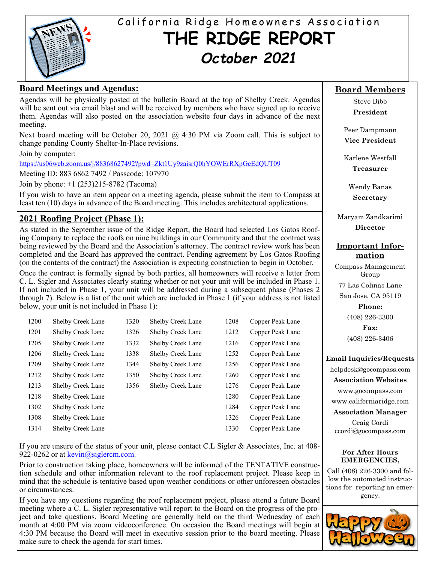

# California Ridge Homeowners Association **THE RIDGE REPORT**  *October 2021*

## **Board Meetings and Agendas:**

Agendas will be physically posted at the bulletin Board at the top of Shelby Creek. Agendas will be sent out via email blast and will be received by members who have signed up to receive them. Agendas will also posted on the association website four days in advance of the next meeting.

Next board meeting will be October 20, 2021 @ 4:30 PM via Zoom call. This is subject to change pending County Shelter-In-Place revisions.

Join by computer:

https://us06web.zoom.us/j/88368627492?pwd=Zkt1Uy9zaisrQ0hYOWErRXpGeEdQUT09

Meeting ID: 883 6862 7492 / Passcode: 107970

Join by phone: +1 (253)215-8782 (Tacoma)

If you wish to have an item appear on a meeting agenda, please submit the item to Compass at least ten (10) days in advance of the Board meeting. This includes architectural applications.

## **2021 Roofing Project (Phase 1):**

As stated in the September issue of the Ridge Report, the Board had selected Los Gatos Roofing Company to replace the roofs on nine buildings in our Community and that the contract was being reviewed by the Board and the Association's attorney. The contract review work has been completed and the Board has approved the contract. Pending agreement by Los Gatos Roofing (on the contents of the contract) the Association is expecting construction to begin in October.

Once the contract is formally signed by both parties, all homeowners will receive a letter from C. L. Sigler and Associates clearly stating whether or not your unit will be included in Phase 1. If not included in Phase 1, your unit will be addressed during a subsequent phase (Phases 2 through 7). Below is a list of the unit which are included in Phase 1 (if your address is not listed below, your unit is not included in Phase 1):

| 1200 | <b>Shelby Creek Lane</b> | 1320 | <b>Shelby Creek Lane</b> | 1208 | Copper Peak Lane |
|------|--------------------------|------|--------------------------|------|------------------|
| 1201 | Shelby Creek Lane        | 1326 | <b>Shelby Creek Lane</b> | 1212 | Copper Peak Lane |
| 1205 | <b>Shelby Creek Lane</b> | 1332 | Shelby Creek Lane        | 1216 | Copper Peak Lane |
| 1206 | Shelby Creek Lane        | 1338 | Shelby Creek Lane        | 1252 | Copper Peak Lane |
| 1209 | Shelby Creek Lane        | 1344 | Shelby Creek Lane        | 1256 | Copper Peak Lane |
| 1212 | <b>Shelby Creek Lane</b> | 1350 | <b>Shelby Creek Lane</b> | 1260 | Copper Peak Lane |
| 1213 | <b>Shelby Creek Lane</b> | 1356 | Shelby Creek Lane        | 1276 | Copper Peak Lane |
| 1218 | <b>Shelby Creek Lane</b> |      |                          | 1280 | Copper Peak Lane |
| 1302 | <b>Shelby Creek Lane</b> |      |                          | 1284 | Copper Peak Lane |
| 1308 | <b>Shelby Creek Lane</b> |      |                          | 1326 | Copper Peak Lane |
| 1314 | <b>Shelby Creek Lane</b> |      |                          | 1330 | Copper Peak Lane |

If you are unsure of the status of your unit, please contact C.L Sigler & Associates, Inc. at 408- 922-0262 or at  $\frac{\text{kevin}(a)\text{siglercm.com}}{a}$ .

Prior to construction taking place, homeowners will be informed of the TENTATIVE construction schedule and other information relevant to the roof replacement project. Please keep in mind that the schedule is tentative based upon weather conditions or other unforeseen obstacles or circumstances.

If you have any questions regarding the roof replacement project, please attend a future Board meeting where a C. L. Sigler representative will report to the Board on the progress of the project and take questions. Board Meeting are generally held on the third Wednesday of each month at 4:00 PM via zoom videoconference. On occasion the Board meetings will begin at 4:30 PM because the Board will meet in executive session prior to the board meeting. Please make sure to check the agenda for start times.

## **Board Members**

Steve Bibb **President** 

Peer Dampmann **Vice President** 

Karlene Westfall **Treasurer** 

Wendy Banas **Secretary** 

Maryam Zandkarimi **Director** 

## **Important Information**

Compass Management Group

77 Las Colinas Lane

San Jose, CA 95119

**Phone:** 

(408) 226-3300 **Fax:** 

(408) 226-3406

## **Email Inquiries/Requests**

helpdesk@gocompass.com **Association Websites**  www.gocompass.com

www.californiaridge.com

**Association Manager** 

Craig Cordi ccordi@gocompass.com

### **For After Hours EMERGENCIES,**

Call (408) 226-3300 and follow the automated instructions for reporting an emergency.

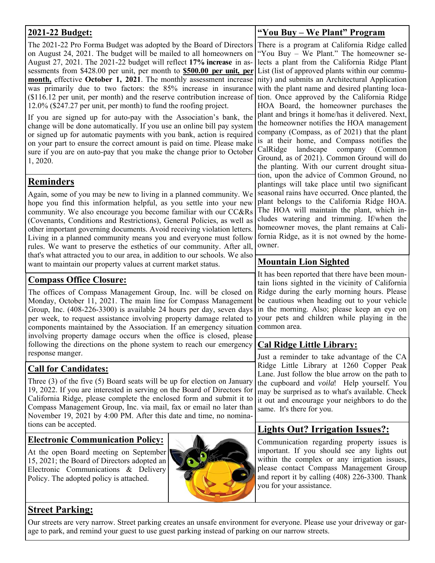| 2021-22 Budget:                                                                                                                                                                                                                                                                                                                                                                                                                                                                                                                                                                                                                                                                                                                                                                                                                                                                       | "You Buy - We Plant" Program                                                                                                                                                                                                                                                                                                                                                                                                                                                                                                                                                                                                                                                                                                           |  |  |
|---------------------------------------------------------------------------------------------------------------------------------------------------------------------------------------------------------------------------------------------------------------------------------------------------------------------------------------------------------------------------------------------------------------------------------------------------------------------------------------------------------------------------------------------------------------------------------------------------------------------------------------------------------------------------------------------------------------------------------------------------------------------------------------------------------------------------------------------------------------------------------------|----------------------------------------------------------------------------------------------------------------------------------------------------------------------------------------------------------------------------------------------------------------------------------------------------------------------------------------------------------------------------------------------------------------------------------------------------------------------------------------------------------------------------------------------------------------------------------------------------------------------------------------------------------------------------------------------------------------------------------------|--|--|
| The 2021-22 Pro Forma Budget was adopted by the Board of Directors<br>on August 24, 2021. The budget will be mailed to all homeowners on<br>August 27, 2021. The 2021-22 budget will reflect 17% increase in as-<br>sessments from \$428.00 per unit, per month to \$500.00 per unit, per<br>month, effective October 1, 2021. The monthly assessment increase<br>was primarily due to two factors: the 85% increase in insurance<br>(\$116.12 per unit, per month) and the reserve contribution increase of<br>12.0% (\$247.27 per unit, per month) to fund the roofing project.<br>If you are signed up for auto-pay with the Association's bank, the<br>change will be done automatically. If you use an online bill pay system<br>or signed up for automatic payments with you bank, action is required<br>on your part to ensure the correct amount is paid on time. Please make | There is a program at California Ridge called<br>"You Buy - We Plant." The homeowner se-<br>lects a plant from the California Ridge Plant<br>List (list of approved plants within our commu-<br>nity) and submits an Architectural Application<br>with the plant name and desired planting loca-<br>tion. Once approved by the California Ridge<br>HOA Board, the homeowner purchases the<br>plant and brings it home/has it delivered. Next,<br>the homeowner notifies the HOA management<br>company (Compass, as of 2021) that the plant<br>is at their home, and Compass notifies the<br>landscape<br>company<br>(Common<br>CalRidge<br>Ground, as of 2021). Common Ground will do<br>the planting. With our current drought situa- |  |  |
| sure if you are on auto-pay that you make the change prior to October<br>1, 2020.                                                                                                                                                                                                                                                                                                                                                                                                                                                                                                                                                                                                                                                                                                                                                                                                     |                                                                                                                                                                                                                                                                                                                                                                                                                                                                                                                                                                                                                                                                                                                                        |  |  |
| Reminders<br>Again, some of you may be new to living in a planned community. We<br>hope you find this information helpful, as you settle into your new<br>community. We also encourage you become familiar with our CC&Rs<br>(Covenants, Conditions and Restrictions), General Policies, as well as<br>other important governing documents. Avoid receiving violation letters.<br>Living in a planned community means you and everyone must follow<br>rules. We want to preserve the esthetics of our community. After all,                                                                                                                                                                                                                                                                                                                                                           | tion, upon the advice of Common Ground, no<br>plantings will take place until two significant<br>seasonal rains have occurred. Once planted, the<br>plant belongs to the California Ridge HOA.<br>The HOA will maintain the plant, which in-<br>cludes watering and trimming. If/when the<br>homeowner moves, the plant remains at Cali-<br>fornia Ridge, as it is not owned by the home-<br>owner.                                                                                                                                                                                                                                                                                                                                    |  |  |
| that's what attracted you to our area, in addition to our schools. We also<br>want to maintain our property values at current market status.                                                                                                                                                                                                                                                                                                                                                                                                                                                                                                                                                                                                                                                                                                                                          | <b>Mountain Lion Sighted</b>                                                                                                                                                                                                                                                                                                                                                                                                                                                                                                                                                                                                                                                                                                           |  |  |
| <u><b>Compass Office Closure:</b></u><br>The offices of Compass Management Group, Inc. will be closed on<br>Monday, October 11, 2021. The main line for Compass Management<br>Group, Inc. (408-226-3300) is available 24 hours per day, seven days<br>per week, to request assistance involving property damage related to<br>components maintained by the Association. If an emergency situation<br>involving property damage occurs when the office is closed, please                                                                                                                                                                                                                                                                                                                                                                                                               | It has been reported that there have been moun-<br>tain lions sighted in the vicinity of California<br>Ridge during the early morning hours. Please<br>be cautious when heading out to your vehicle<br>in the morning. Also; please keep an eye on<br>your pets and children while playing in the<br>common area.                                                                                                                                                                                                                                                                                                                                                                                                                      |  |  |
| following the directions on the phone system to reach our emergency<br>response manger.                                                                                                                                                                                                                                                                                                                                                                                                                                                                                                                                                                                                                                                                                                                                                                                               | <b>Cal Ridge Little Library:</b>                                                                                                                                                                                                                                                                                                                                                                                                                                                                                                                                                                                                                                                                                                       |  |  |
| <b>Call for Candidates:</b><br>Three (3) of the five (5) Board seats will be up for election on January<br>19, 2022. If you are interested in serving on the Board of Directors for<br>California Ridge, please complete the enclosed form and submit it to<br>Compass Management Group, Inc. via mail, fax or email no later than<br>November 19, 2021 by 4:00 PM. After this date and time, no nomina-                                                                                                                                                                                                                                                                                                                                                                                                                                                                              | Just a reminder to take advantage of the CA<br>Ridge Little Library at 1260 Copper Peak<br>Lane. Just follow the blue arrow on the path to<br>the cupboard and <i>voila</i> ! Help yourself. You<br>may be surprised as to what's available. Check<br>it out and encourage your neighbors to do the<br>same. It's there for you.                                                                                                                                                                                                                                                                                                                                                                                                       |  |  |
| tions can be accepted.                                                                                                                                                                                                                                                                                                                                                                                                                                                                                                                                                                                                                                                                                                                                                                                                                                                                | <b>Lights Out? Irrigation Issues?:</b>                                                                                                                                                                                                                                                                                                                                                                                                                                                                                                                                                                                                                                                                                                 |  |  |
| <b>Electronic Communication Policy:</b><br>At the open Board meeting on September<br>15, 2021; the Board of Directors adopted an<br>Electronic Communications & Delivery<br>Policy. The adopted policy is attached.                                                                                                                                                                                                                                                                                                                                                                                                                                                                                                                                                                                                                                                                   | Communication regarding property issues is<br>important. If you should see any lights out<br>within the complex or any irrigation issues,<br>please contact Compass Management Group<br>and report it by calling (408) 226-3300. Thank<br>you for your assistance.                                                                                                                                                                                                                                                                                                                                                                                                                                                                     |  |  |
| <b>Street Parking:</b>                                                                                                                                                                                                                                                                                                                                                                                                                                                                                                                                                                                                                                                                                                                                                                                                                                                                |                                                                                                                                                                                                                                                                                                                                                                                                                                                                                                                                                                                                                                                                                                                                        |  |  |

## **Street Parking:**

Our streets are very narrow. Street parking creates an unsafe environment for everyone. Please use your driveway or garage to park, and remind your guest to use guest parking instead of parking on our narrow streets.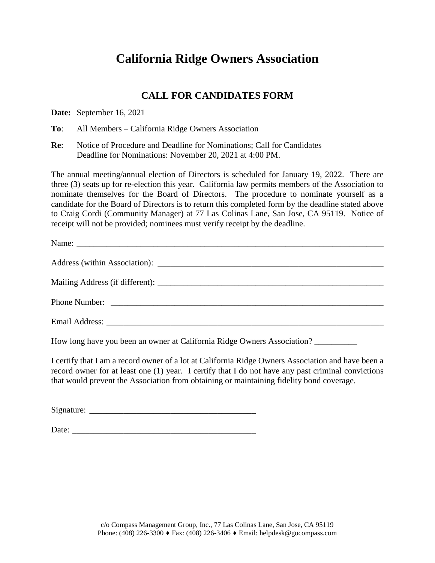## **California Ridge Owners Association**

## **CALL FOR CANDIDATES FORM**

**Date:** September 16, 2021

**To**: All Members – California Ridge Owners Association

**Re**: Notice of Procedure and Deadline for Nominations; Call for Candidates Deadline for Nominations: November 20, 2021 at 4:00 PM.

The annual meeting/annual election of Directors is scheduled for January 19, 2022. There are three (3) seats up for re-election this year. California law permits members of the Association to nominate themselves for the Board of Directors. The procedure to nominate yourself as a candidate for the Board of Directors is to return this completed form by the deadline stated above to Craig Cordi (Community Manager) at 77 Las Colinas Lane, San Jose, CA 95119. Notice of receipt will not be provided; nominees must verify receipt by the deadline.

How long have you been an owner at California Ridge Owners Association? \_\_\_\_\_\_\_\_\_\_

I certify that I am a record owner of a lot at California Ridge Owners Association and have been a record owner for at least one (1) year. I certify that I do not have any past criminal convictions that would prevent the Association from obtaining or maintaining fidelity bond coverage.

 $Sigma:$   $\Box$ 

Date: \_\_\_\_\_\_\_\_\_\_\_\_\_\_\_\_\_\_\_\_\_\_\_\_\_\_\_\_\_\_\_\_\_\_\_\_\_\_\_\_\_\_\_